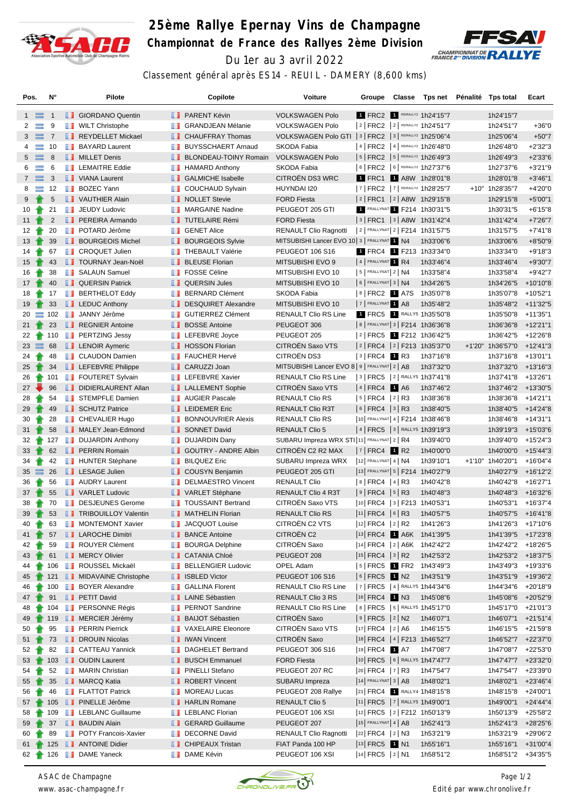

## **25ème Rallye Epernay Vins de Champagne Championnat de France des Rallyes 2ème Division** Du 1er au 3 avril 2022



Classement général après ES14 - REUIL - DAMERY (8,600 kms)

| Pos.            |                | N°             |               | Pilote                      |                                                                                                                                                                                                                                      | Copilote                       | Voiture                                                  | Groupe                  |      | Classe | Tps net Pénalité Tps total         |          |                    | Ecart       |
|-----------------|----------------|----------------|---------------|-----------------------------|--------------------------------------------------------------------------------------------------------------------------------------------------------------------------------------------------------------------------------------|--------------------------------|----------------------------------------------------------|-------------------------|------|--------|------------------------------------|----------|--------------------|-------------|
|                 | $1 \equiv$     | -1             |               | <b>B</b> GIORDANO Quentin   |                                                                                                                                                                                                                                      | <b>B</b> PARENT Kévin          | <b>VOLKSWAGEN Polo</b>                                   |                         |      |        | 1 FRC2 1 R5/RALLY2 1h24'15"7       |          | 1h24'15"7          |             |
| 2               | $\equiv$       | 9              |               | <b>NILT</b> Christophe      | <b>The Contract of the Contract of the Contract of the Contract of the Contract of the Contract of the Contract o</b>                                                                                                                | <b>GRANDJEAN Mélanie</b>       | <b>VOLKSWAGEN Polo</b>                                   |                         |      |        | 2   FRC2   2   R5/RALLY2 1h24'51"7 |          | 1h24'51"7          | $+36"0$     |
|                 | $3 \equiv 7$   |                |               | REYDELLET Mickael           |                                                                                                                                                                                                                                      | <b>CHAUFFRAY Thomas</b>        | VOLKSWAGEN Polo GTI   3   FRC2   3   R5/RALLY2 1h25'06"4 |                         |      |        |                                    |          | 1h25'06"4          | $+50"7$     |
| 4               | $\equiv$       | 10             |               | <b>BAYARD Laurent</b>       |                                                                                                                                                                                                                                      | <b>BUYSSCHAERT Arnaud</b>      | SKODA Fabia                                              |                         |      |        | 4   FRC2   4   R5/RALLY2 1h26'48"0 |          | 1h26'48"0          | $+2'32"3$   |
| 5               | $\equiv$       | 8              |               | <b>NILLET</b> Denis         |                                                                                                                                                                                                                                      | <b>BLONDEAU-TOINY Romain</b>   | <b>VOLKSWAGEN Polo</b>                                   |                         |      |        | 5   FRC2   5   R5/RALLY2 1h26'49"3 |          | 1h26'49"3          | $+2'33''6$  |
| 6               | $\equiv$       | 6              |               | <b>EXEMPLEMAITRE Eddie</b>  | <b>The Contract of the Contract of the Contract of the Contract of the Contract of the Contract of the Contract of the Contract of the Contract of The Contract of The Contract of The Contract of The Contract of The Contract </b> | <b>HAMARD Anthony</b>          | SKODA Fabia                                              |                         |      |        | 6 FRC2 6 R5/RALLY2 1h27'37"6       |          | 1h27'37"6          | $+3'21"9$   |
| $7^{\circ}$     | $\equiv$       | -3             |               | VIANA Laurent               |                                                                                                                                                                                                                                      | <b>B</b> GALMICHE Isabelle     | <b>CITROEN DS3 WRC</b>                                   |                         |      |        | 1 FRC1 1 A8W 1h28'01"8             |          | 1h28'01"8          | $+3'46''1$  |
| 8               | ≡              | 12             | <b>The Co</b> | <b>BOZEC Yann</b>           | ш                                                                                                                                                                                                                                    | <b>COUCHAUD Sylvain</b>        | HUYNDAI I20                                              |                         |      |        | 7   FRC2   7   R5/RALLY2 1h28'25"7 |          | +10" 1h28'35"7     | +4'20"0     |
| 9               |                | $\sqrt{5}$     |               | VAUTHIER Alain              |                                                                                                                                                                                                                                      | NOLLET Stevie                  | <b>FORD Fiesta</b>                                       |                         |      |        | 2 FRC1 2 A8W 1h29'15"8             |          | 1h29'15"8          | $+5'00"1$   |
| 10              |                | 21             | ш             | <b>JEUDY Ludovic</b>        | ш                                                                                                                                                                                                                                    | <b>MARGAINE Nadine</b>         | PEUGEOT 205 GTI                                          |                         |      |        | 1 FRALLYNAT 1 F214 1h30'31"5       |          | 1h30'31"5          | $+6'15"8$   |
| 11 $\uparrow$   |                | $\overline{2}$ |               | <b>PEREIRA Armando</b>      |                                                                                                                                                                                                                                      | <b>TUTELAIRE Rémi</b>          | <b>FORD Fiesta</b>                                       |                         |      |        | $ 3 $ FRC1 $ 3 $ A8W 1h31'42"4     |          | 1h31'42"4          | $+7'26''7$  |
| 12 <sup>°</sup> |                | 20             | ш             | POTARD Jérôme               |                                                                                                                                                                                                                                      | <b>B</b> GENET Alice           | <b>RENAULT Clio Ragnotti</b>                             |                         |      |        | 2 FRALLYNAT 2   F214 1h31'57"5     |          | 1h31'57"5          | $+7'41''8$  |
| 13 <sup>°</sup> |                | 39             |               | <b>BOURGEOIS Michel</b>     |                                                                                                                                                                                                                                      | <b>BOURGEOIS Sylvie</b>        | MITSUBISHI Lancer EVO 10 3   FRALLYNAT 1 N4              |                         |      |        | 1h33'06"6                          |          | 1h33'06"6          | +8'50"9     |
| 14              |                | 67             | ш             | <b>CROQUET Julien</b>       | ш                                                                                                                                                                                                                                    | THEBAULT Valérie               | PEUGEOT 106 S16                                          |                         |      |        | 1 FRC4 1 F213 1h33'34"0            |          | 1h33'34"0          | $+9'18"3$   |
| 15 <sub>1</sub> |                | 43             |               | <b>TOURNAY Jean-Noël</b>    |                                                                                                                                                                                                                                      | <b>BLEUSE Florian</b>          | MITSUBISHI EVO 9                                         | 4 FRALLYNAT 1 R4        |      |        | 1h33'46"4                          |          | 1h33'46"4          | +9'30"7     |
| 16              |                | 38             |               | <b>B</b> SALAUN Samuel      | m                                                                                                                                                                                                                                    | <b>FOSSE Céline</b>            | MITSUBISHI EVO 10                                        | $ 5 $ FRALLYNAT $2 N4$  |      |        | 1h33'58"4                          |          | 1h33'58"4          | $+9'42"7$   |
| $17 \text{ T}$  |                | 40             |               | <b>QUERSIN Patrick</b>      |                                                                                                                                                                                                                                      | <b>QUERSIN Jules</b>           | MITSUBISHI EVO 10                                        | $6$ FRALLYNAT 3 N4      |      |        | 1h34'26"5                          |          | 1h34'26"5          | +10'10"8    |
| 18              |                | 17             |               | <b>BERTHELOT Eddy</b>       |                                                                                                                                                                                                                                      | <b>BERNARD Clément</b>         | <b>SKODA Fabia</b>                                       | $ 8 $ FRC2 1 A7S        |      |        | 1h35'07"8                          |          | 1h35'07"8          | $+10'52"1$  |
| 19              |                | 33             |               | $\Box$ LEDUC Anthony        |                                                                                                                                                                                                                                      | DESQUIRET Alexandre            | MITSUBISHI EVO 10                                        | 7 FRALLYNAT 1 A8        |      |        | 1h35'48"2                          |          | 1h35'48"2          | +11'32"5    |
| 20              |                | $\equiv$ 102   | <b>THE R</b>  | JANNY Jérôme                | ш                                                                                                                                                                                                                                    | <b>GUTIERREZ Clément</b>       | RENAULT Clio RS Line                                     |                         |      |        | 1 FRC5 1 RALLY5 1h35'50"8          |          | 1h35'50"8          | $+11'35"1$  |
| 21              |                | 23             |               | <b>REGNIER Antoine</b>      |                                                                                                                                                                                                                                      | <b>BOSSE Antoine</b>           | PEUGEOT 306                                              |                         |      |        | 8   FRALLYNAT 3   F214 1h36'36"8   |          | 1h36'36"8          | +12'21"1    |
| 22              |                | 110            | m             | <b>PERTZING Jessy</b>       | ш                                                                                                                                                                                                                                    | LEFEBVRE Joyce                 | PEUGEOT 205                                              |                         |      |        | 2 FRC5 1 F212 1h36'42"5            |          | 1h36'42"5          | $+12'26''8$ |
|                 | $23 \equiv 68$ |                |               | <b>EXP</b> LENOIR Aymeric   |                                                                                                                                                                                                                                      | <b>Fig.</b> HOSSON Florian     | CITROËN Saxo VTS                                         |                         |      |        | 2  FRC4  2  F213 1h35'37"0         | $+1'20"$ | 1h36'57"0          | $+12'41''3$ |
| 24              | $\bullet$      | 48             |               | <b>CLAUDON Damien</b>       |                                                                                                                                                                                                                                      | <b>FAUCHER Hervé</b>           | CITROËN DS3                                              | $ 3 $ FRC4 1 R3         |      |        | 1h37'16"8                          |          | 1h37'16"8          | $+13'01"1$  |
| 25              |                | 34             |               | <b>LEFEBVRE Philippe</b>    |                                                                                                                                                                                                                                      | <b>CARUZZI Joan</b>            | MITSUBISHI Lancer EVO 8   9   FRALLYNAT 2   A8           |                         |      |        | 1h37'32"0                          |          | 1h37'32"0          | $+13'16''3$ |
| 26              |                | 101            |               | <b>FOUTERET Sylvain</b>     | <b>The Contract of the Contract of the Contract of the Contract of the Contract of the Contract of the Contract o</b>                                                                                                                | <b>LEFEBVRE Xavier</b>         | RENAULT Clio RS Line                                     |                         |      |        | 3   FRC5   2   RALLY5 1h37'41"8    |          | 1h37'41"8          | +13'26"1    |
|                 | $27 -$         | 96             |               | DIDIERLAURENT Allan         |                                                                                                                                                                                                                                      | <b>LALLEMENT Sophie</b>        | CITROËN Saxo VTS                                         | $ 4 $ FRC4              | 1 A6 |        | 1h37'46"2                          |          | 1h37'46"2          | +13'30"5    |
| 28              |                | 54             |               | STEMPFLE Damien             | ш                                                                                                                                                                                                                                    | <b>AUGIER Pascale</b>          | <b>RENAULT Clio RS</b>                                   | $ 5 $ FRC4 $ 2 $ R3     |      |        | 1h38'36"8                          |          | 1h38'36"8          | $+14'21"1$  |
| 29              | Ŧ              | 49             |               | SCHUTZ Patrice              |                                                                                                                                                                                                                                      | <b>LEIDEMER Eric</b>           | RENAULT Clio R3T                                         | $ 6 $ FRC4 $ 3 $ R3     |      |        | 1h38'40"5                          |          | 1h38'40"5          | +14'24"8    |
| 30              |                | 28             |               | <b>T</b> CHEVALIER Hugo     |                                                                                                                                                                                                                                      | <b>BONNOUVRIER Alexis</b>      | <b>RENAULT Clio RS</b>                                   |                         |      |        | 10 FRALLYNAT 4   F214 1h38'46"8    |          | 1h38'46"8          | +14'31"1    |
| 31              |                | 58             |               | MALEY Jean-Edmond           |                                                                                                                                                                                                                                      | SONNET David                   | <b>RENAULT Clio 5</b>                                    |                         |      |        | 4   FRC5   3   RALLY5 1h39'19"3    |          | 1h39'19"3          | +15'03"6    |
| 32              |                | 127            |               | <b>DUJARDIN Anthony</b>     | ш                                                                                                                                                                                                                                    | <b>DUJARDIN Dany</b>           | SUBARU Impreza WRX STI 11 FRALLYNAT 2   R4               |                         |      |        | 1h39'40"0                          |          | 1h39'40"0          | $+15'24"3$  |
| 33              |                | 62             |               | <b>FERRIN Romain</b>        |                                                                                                                                                                                                                                      | <b>GOUTRY - ANDRE Albin</b>    | CITROËN C2 R2 MAX                                        | $ 7 $ FRC4 1 R2         |      |        | 1h40'00"0                          |          | 1h40'00"0          | $+15'44"3$  |
| 34              | Ŧ              | 42             |               | <b>HUNTER Stéphane</b>      | ш                                                                                                                                                                                                                                    | <b>BILQUEZ Eric</b>            | SUBARU Impreza WRX                                       | $12$ FRALLYNAT 4   N4   |      |        | 1h39'10"1                          |          | +1'10" 1h40'20"1   | $+16'04''4$ |
|                 | $35 \equiv$    | -26            |               | <b>LESAGE Julien</b>        |                                                                                                                                                                                                                                      | COUSYN Benjamin                | PEUGEOT 205 GTI                                          |                         |      |        | 13 FRALLYNAT 5   F214 1h40'27"9    |          | 1h40'27"9          | $+16'12"2$  |
| 36              |                | 56             |               | <b>AUDRY Laurent</b>        |                                                                                                                                                                                                                                      | DELMAESTRO Vincent             | <b>RENAULT Clio</b>                                      | $ 8 $ FRC4 $ 4 $ R3     |      |        | 1h40'42"8                          |          | 1h40'42"8          | $+16'27"1$  |
| 37              |                | 55             |               | VARLET Ludovic              |                                                                                                                                                                                                                                      | <b>T</b> VARLET Stéphane       | RENAULT Clio 4 R3T                                       | 9   FRC4   5   R3       |      |        | 1h40'48"3                          |          | 1h40'48"3          | +16'32"6    |
| 38              |                | 70             | ш             | <b>DESJEUNES Gerome</b>     |                                                                                                                                                                                                                                      | <b>TOUSSAINT Bertrand</b>      | CITROËN Saxo VTS                                         |                         |      |        | $ 10 $ FRC4 $ 3 $ F213 1h40'53"1   |          | 1h40'53"1          | $+16'37''4$ |
| 39              |                | 53             |               | <b>TRIBOUILLOY Valentin</b> |                                                                                                                                                                                                                                      | MATHELIN Florian               | <b>RENAULT Clio RS</b>                                   | $ 11 $ FRC4 $ 6 $ R3    |      |        | 1h40'57"5                          |          | 1h40'57"5          | +16'41"8    |
| 40              | Ŧ              | 63             |               | <b>NONTEMONT Xavier</b>     | ш                                                                                                                                                                                                                                    | JACQUOT Louise                 | CITROËN C2 VTS                                           | $ 12 $ FRC4 $ 2 $ R2    |      |        | 1h41'26"3                          |          | 1h41'26"3 +17'10"6 |             |
| 41              |                | 57             |               | <b>LE</b> LAROCHE Dimitri   |                                                                                                                                                                                                                                      | <b>BANCE Antoine</b>           | <b>CITROEN C2</b>                                        |                         |      |        | 13  FRC4   1 A6K 1h41'39"5         |          | 1h41'39"5          | +17'23"8    |
| 42              |                | 59             |               | <b>ROUYER Clément</b>       |                                                                                                                                                                                                                                      | <b>BOURGA Delphine</b>         | CITROËN Saxo                                             |                         |      |        | 14  FRC4   2   A6K 1h42'42"2       |          | 1h42'42"2 +18'26"5 |             |
| 43              |                | 61             |               | <b>NERCY Olivier</b>        |                                                                                                                                                                                                                                      | <b>CATANIA Chloé</b>           | PEUGEOT 208                                              | $ 15 $ FRC4 $ 3 $ R2    |      |        | 1h42'53"2                          |          | 1h42'53"2 +18'37"5 |             |
| 44              |                | 106            |               | <b>BER ROUSSEL Mickaël</b>  |                                                                                                                                                                                                                                      | <b>BELLENGIER Ludovic</b>      | OPEL Adam                                                |                         |      |        | $ 5 $ FRC5 1 FR2 1h43'49"3         |          | 1h43'49"3          | +19'33"6    |
| 45              |                | 121            |               | <b>NIDAVAINE Christophe</b> |                                                                                                                                                                                                                                      | <b>B</b> ISBLED Victor         | <b>PEUGEOT 106 S16</b>                                   | $ 6 $ FRC5 1 N2         |      |        | 1h43'51"9                          |          | 1h43'51"9          | +19'36"2    |
| 46              |                | 100            |               | <b>BOYER Alexandre</b>      |                                                                                                                                                                                                                                      | <b>B</b> GALLINA Florent       | RENAULT Clio RS Line                                     |                         |      |        | 7   FRC5   4   RALLY5 1h44'34"6    |          | 1h44'34"6          | +20'18"9    |
| 47 <sub>1</sub> |                | 91             |               | <b>PETIT David</b>          |                                                                                                                                                                                                                                      | <b>LE</b> LAINE Sébastien      | RENAULT Clio 3 RS                                        | 16 FRC4 1 N3            |      |        | 1h45'08"6                          |          | 1h45'08"6          | +20'52"9    |
| 48              |                | 104            |               | <b>TERSONNE Régis</b>       |                                                                                                                                                                                                                                      | <b>FERNOT Sandrine</b>         | RENAULT Clio RS Line                                     |                         |      |        | 8   FRC5   5   RALLY5 1h45'17"0    |          | 1h45'17"0          | +21'01"3    |
| 49              |                |                |               | 119 <b>B</b> MERCIER Jérémy |                                                                                                                                                                                                                                      | <b>BAIJOT Sébastien</b>        | CITROËN Saxo                                             | $ 9 $ FRC5 $ 2 $ N2     |      |        | 1h46'07"1                          |          | 1h46'07"1          | +21'51"4    |
| 50              |                | 95             |               | <b>FRAIN Pierrick</b>       |                                                                                                                                                                                                                                      | VAXELAIRE Eleonore             | CITROËN Saxo VTS                                         | $ 17 $ FRC4 $ 2 A6$     |      |        | 1h46'15"5                          |          | 1h46'15"5          | +21'59"8    |
|                 | $51$ 1         | 73             |               | <b>DROUIN Nicolas</b>       |                                                                                                                                                                                                                                      | <b>NET IWAN Vincent</b>        | <b>CITROEN Saxo</b>                                      |                         |      |        | 18 FRC4   4   F213 1h46'52"7       |          | 1h46'52"7 +22'37"0 |             |
| 52              |                | 82             |               | <b>CATTEAU Yannick</b>      |                                                                                                                                                                                                                                      | DAGHELET Bertrand              | PEUGEOT 306 S16                                          | 19 FRC4 1 A7            |      |        | 1h47'08"7                          |          | 1h47'08"7          | +22'53"0    |
| 53              |                |                |               | 103 <b>J</b> OUDIN Laurent  |                                                                                                                                                                                                                                      | <b>BUSCH Emmanuel</b>          | <b>FORD Fiesta</b>                                       |                         |      |        | 10 FRC5 6 RALLY5 1h47'47"7         |          | 1h47'47"7          | +23'32"0    |
| 54              |                | 52             |               | <b>NARIN Christian</b>      |                                                                                                                                                                                                                                      | <b>PINELLI Stefano</b>         | PEUGEOT 207 RC                                           | $ 20 $ FRC4 $ 7 $ R3    |      |        | 1h47'54"7                          |          | 1h47'54"7          | +23'39"0    |
| 55              |                | 35             |               | <b>NARCQ Katia</b>          |                                                                                                                                                                                                                                      | ROBERT Vincent                 | SUBARU Impreza                                           | $ 14 $ FRALLYNAT 3   A8 |      |        | 1h48'02"1                          |          | 1h48'02"1          | +23'46"4    |
| 56              |                | 46             |               | <b>FLATTOT Patrick</b>      |                                                                                                                                                                                                                                      | <b>NOREAU Lucas</b>            | PEUGEOT 208 Rallye                                       |                         |      |        | 21 FRC4 1 RALLY4 1h48'15"8         |          | 1h48'15"8          | +24'00"1    |
|                 | $57 +$         | 105            |               | <b>PINELLE Jérôme</b>       |                                                                                                                                                                                                                                      | <b>HARLIN Romane</b>           | <b>RENAULT Clio 5</b>                                    |                         |      |        | 11 FRC5 7 RALLY5 1h49'00"1         |          | 1h49'00"1          | $+24'44''4$ |
| 58              |                | 109            |               | <b>ED</b> LEBLANC Guillaume |                                                                                                                                                                                                                                      | <b>EXECUTE LEBLANC Florian</b> | PEUGEOT 106 XSI                                          |                         |      |        | 12  FRC5   2   F212 1h50'13"9      |          | 1h50'13"9          | +25'58"2    |
| 59              |                | 37             |               | <b>BAUDIN Alain</b>         |                                                                                                                                                                                                                                      | <b>B</b> GERARD Guillaume      | PEUGEOT 207                                              | $ 15 $ FRALLYNAT 4   A8 |      |        | 1h52'41"3                          |          | 1h52'41"3          | +28'25"6    |
| 60              |                | 89             |               | <b>POTY Francois-Xavier</b> |                                                                                                                                                                                                                                      | DECORNE David                  | <b>RENAULT Clio Ragnotti</b>                             | $ 22 $ FRC4 $ 2 $ N3    |      |        | 1h53'21"9                          |          | 1h53'21"9          | +29'06"2    |
| 61              |                | 125            |               | ANTOINE Didier              |                                                                                                                                                                                                                                      | <b>CHIPEAUX Tristan</b>        | FIAT Panda 100 HP                                        | 13 FRC5 1 N1            |      |        | 1h55'16"1                          |          | 1h55'16"1          | +31'00"4    |
| 62              |                |                |               | 126 <b>DAME</b> Yaneck      |                                                                                                                                                                                                                                      | <b>DAME Kévin</b>              | PEUGEOT 106 XSI                                          | $ 14 $ FRC5 $ 2 $ N1    |      |        | 1h58'51"2                          |          | 1h58'51"2 +34'35"5 |             |

*ASAC de Champagne www. asac-champagne.fr*